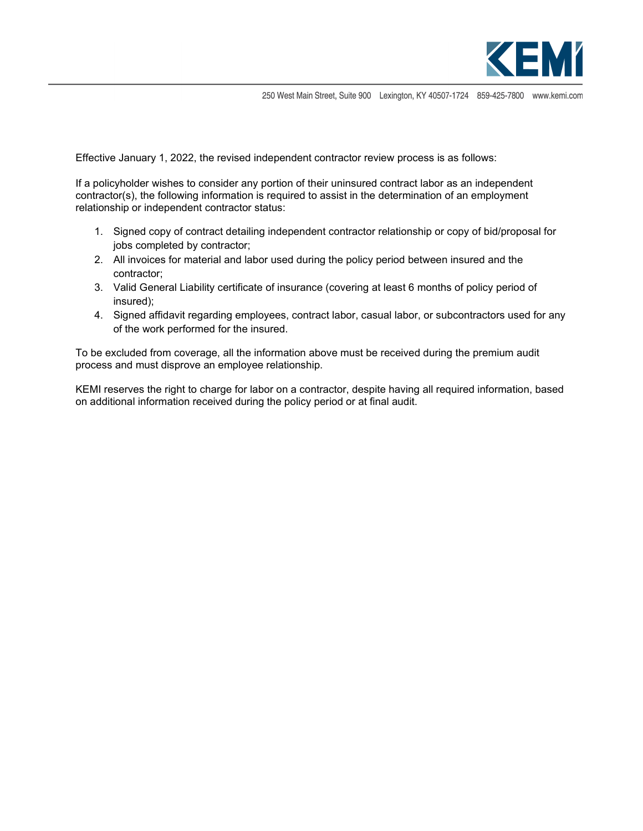

250 West Main Street, Suite 900 Lexington, KY 40507-1724 859-425-7800 www.kemi.com

Effective January 1, 2022, the revised independent contractor review process is as follows:

If a policyholder wishes to consider any portion of their uninsured contract labor as an independent contractor(s), the following information is required to assist in the determination of an employment relationship or independent contractor status:

- 1. Signed copy of contract detailing independent contractor relationship or copy of bid/proposal for jobs completed by contractor;
- 2. All invoices for material and labor used during the policy period between insured and the contractor;
- 3. Valid General Liability certificate of insurance (covering at least 6 months of policy period of insured);
- 4. Signed affidavit regarding employees, contract labor, casual labor, or subcontractors used for any of the work performed for the insured.

To be excluded from coverage, all the information above must be received during the premium audit process and must disprove an employee relationship.

KEMI reserves the right to charge for labor on a contractor, despite having all required information, based on additional information received during the policy period or at final audit.